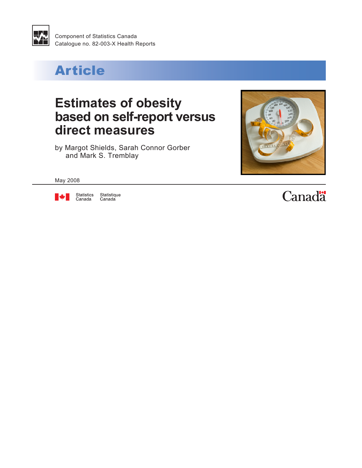

# Article

## **Estimates of obesity based on self-report versus direct measures**

by Margot Shields, Sarah Connor Gorber and Mark S. Tremblay



May 2008



Statistique<br>Canada

**Canadä**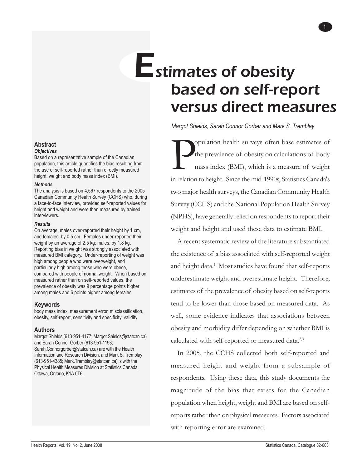# **E**stimates of obesity based on self-report versus direct measures

1

*Margot Shields, Sarah Connor Gorber and Mark S. Tremblay*

 $\sum_{t}$ opulation health surveys often base estimates of the prevalence of obesity on calculations of body mass index (BMI), which is a measure of weight in relation to height. Since the mid-1990s, Statistics Canada's two major health surveys, the Canadian Community Health Survey (CCHS) and the National Population Health Survey (NPHS), have generally relied on respondents to report their weight and height and used these data to estimate BMI.

A recent systematic review of the literature substantiated the existence of a bias associated with self-reported weight and height data.<sup>1</sup> Most studies have found that self-reports underestimate weight and overestimate height. Therefore, estimates of the prevalence of obesity based on self-reports tend to be lower than those based on measured data. As well, some evidence indicates that associations between obesity and morbidity differ depending on whether BMI is calculated with self-reported or measured data.<sup>2,3</sup>

In 2005, the CCHS collected both self-reported and measured height and weight from a subsample of respondents. Using these data, this study documents the magnitude of the bias that exists for the Canadian population when height, weight and BMI are based on selfreports rather than on physical measures. Factors associated with reporting error are examined.

#### **Abstract** *Objectives*

Based on a representative sample of the Canadian population, this article quantifies the bias resulting from the use of self-reported rather than directly measured height, weight and body mass index (BMI).

#### *Methods*

The analysis is based on 4,567 respondents to the 2005 Canadian Community Health Survey (CCHS) who, during a face-to-face interview, provided self-reported values for height and weight and were then measured by trained interviewers.

#### *Results*

On average, males over-reported their height by 1 cm, and females, by 0.5 cm. Females under-reported their weight by an average of 2.5 kg; males, by 1.8 kg. Reporting bias in weight was strongly associated with measured BMI category. Under-reporting of weight was high among people who were overweight, and particularly high among those who were obese, compared with people of normal weight. When based on measured rather than on self-reported values, the prevalence of obesity was 9 percentage points higher among males and 6 points higher among females.

### **Keywords**

body mass index, measurement error, misclassification, obesity, self-report, sensitivity and specificity, validity

## **Authors**

Margot Shields (613-951-4177; Margot.Shields@statcan.ca) and Sarah Connor Gorber (613-951-1193; Sarah.Connorgorber@statcan.ca) are with the Health Information and Research Division, and Mark S. Tremblay (613-951-4385; Mark.Tremblay@statcan.ca) is with the Physical Health Measures Division at Statistics Canada, Ottawa, Ontario, K1A 0T6.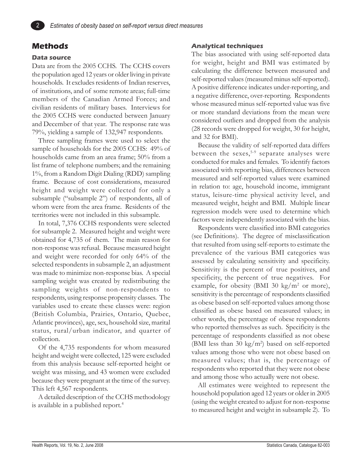## **Methods**

2

## **Data source**

Data are from the 2005 CCHS. The CCHS covers the population aged 12 years or older living in private households. It excludes residents of Indian reserves, of institutions, and of some remote areas; full-time members of the Canadian Armed Forces; and civilian residents of military bases. Interviews for the 2005 CCHS were conducted between January and December of that year. The response rate was 79%, yielding a sample of 132,947 respondents.

Three sampling frames were used to select the sample of households for the 2005 CCHS: 49% of households came from an area frame; 50% from a list frame of telephone numbers; and the remaining 1%, from a Random Digit Dialing (RDD) sampling frame. Because of cost considerations, measured height and weight were collected for only a subsample ("subsample 2") of respondents, all of whom were from the area frame. Residents of the territories were not included in this subsample.

In total, 7,376 CCHS respondents were selected for subsample 2. Measured height and weight were obtained for 4,735 of them. The main reason for non-response was refusal. Because measured height and weight were recorded for only 64% of the selected respondents in subsample 2, an adjustment was made to minimize non-response bias. A special sampling weight was created by redistributing the sampling weights of non-respondents to respondents, using response propensity classes. The variables used to create these classes were: region (British Columbia, Prairies, Ontario, Quebec, Atlantic provinces), age, sex, household size, marital status, rural/urban indicator, and quarter of collection.

Of the 4,735 respondents for whom measured height and weight were collected, 125 were excluded from this analysis because self-reported height or weight was missing, and 43 women were excluded because they were pregnant at the time of the survey. This left 4,567 respondents.

A detailed description of the CCHS methodology is available in a published report.<sup>4</sup>

## **Analytical techniques**

The bias associated with using self-reported data for weight, height and BMI was estimated by calculating the difference between measured and self-reported values (measured minus self-reported). A positive difference indicates under-reporting, and a negative difference, over-reporting.Respondents whose measured minus self-reported value was five or more standard deviations from the mean were considered outliers and dropped from the analysis (28 records were dropped for weight, 30 for height, and 32 for BMI).

Because the validity of self-reported data differs between the sexes, $5-9$  separate analyses were conducted for males and females. To identify factors associated with reporting bias, differences between measured and self-reported values were examined in relation to: age, household income, immigrant status, leisure-time physical activity level, and measured weight, height and BMI. Multiple linear regression models were used to determine which factors were independently associated with the bias.

Respondents were classified into BMI categories (see Definitions). The degree of misclassification that resulted from using self-reports to estimate the prevalence of the various BMI categories was assessed by calculating sensitivity and specificity. Sensitivity is the percent of true positives, and specificity, the percent of true negatives. For example, for obesity (BMI 30 kg/ $m^2$  or more), sensitivity is the percentage of respondents classified as obese based on self-reported values among those classified as obese based on measured values; in other words, the percentage of obese respondents who reported themselves as such. Specificity is the percentage of respondents classified as not obese (BMI less than 30 kg/m<sup>2</sup>) based on self-reported values among those who were not obese based on measured values; that is, the percentage of respondents who reported that they were not obese and among those who actually were not obese.

All estimates were weighted to represent the household population aged 12 years or older in 2005 (using the weight created to adjust for non-response to measured height and weight in subsample 2). To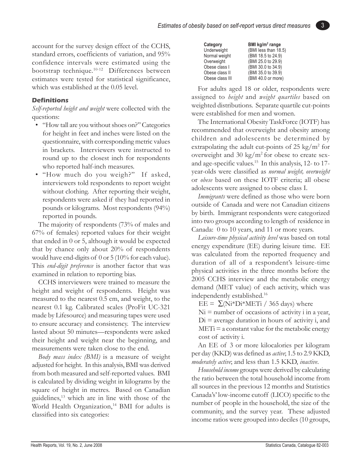account for the survey design effect of the CCHS, standard errors, coefficients of variation, and 95% confidence intervals were estimated using the bootstrap technique.10-12 Differences between estimates were tested for statistical significance, which was established at the 0.05 level.

## **Definitions**

*Self-reported height and weight* were collected with the questions:

- "How tall are you without shoes on?" Categories for height in feet and inches were listed on the questionnaire, with corresponding metric values in brackets. Interviewers were instructed to round up to the closest inch for respondents who reported half-inch measures.
- "How much do you weigh?" If asked, interviewers told respondents to report weight without clothing. After reporting their weight, respondents were asked if they had reported in pounds or kilograms. Most respondents (94%) reported in pounds.

The majority of respondents (73% of males and 67% of females) reported values for their weight that ended in 0 or 5, although it would be expected that by chance only about 20% of respondents would have end-digits of 0 or 5 (10% for each value). This *end-digit preference* is another factor that was examined in relation to reporting bias.

CCHS interviewers were trained to measure the height and weight of respondents. Height was measured to the nearest 0.5 cm, and weight, to the nearest 0.1 kg. Calibrated scales (ProFit UC-321 made by Lifesource) and measuring tapes were used to ensure accuracy and consistency. The interview lasted about 50 minutes—respondents were asked their height and weight near the beginning, and measurements were taken close to the end.

*Body mass index (BMI)* is a measure of weight adjusted for height. In this analysis, BMI was derived from both measured and self-reported values. BMI is calculated by dividing weight in kilograms by the square of height in metres. Based on Canadian guidelines,13 which are in line with those of the World Health Organization,<sup>14</sup> BMI for adults is classified into six categories:

| Category        | BMI $kg/m2$ range    |
|-----------------|----------------------|
| Underweight     | (BMI less than 18.5) |
| Normal weight   | (BMI 18.5 to 24.9)   |
| Overweight      | (BMI 25.0 to 29.9)   |
| Obese class I   | (BMI 30.0 to 34.9)   |
| Obese class II  | (BMI 35.0 to 39.9)   |
| Obese class III | (BMI 40.0 or more)   |
|                 |                      |

For adults aged 18 or older, respondents were assigned to *height* and *weight quartiles* based on weighted distributions. Separate quartile cut-points were established for men and women.

The International Obesity TaskForce (IOTF) has recommended that overweight and obesity among children and adolescents be determined by extrapolating the adult cut-points of  $25 \text{ kg/m}^2$  for overweight and 30 kg/m<sup>2</sup> for obese to create sexand age-specific values.15 In this analysis, 12- to 17 year-olds were classified as *normal weight, overweight* or *obese* based on these IOTF criteria; all obese adolescents were assigned to obese class I.

*Immigrants* were defined as those who were born outside of Canada and were not Canadian citizens by birth. Immigrant respondents were categorized into two groups according to length of residence in Canada: 0 to 10 years, and 11 or more years.

*Leisure-time physical activity level* was based on total energy expenditure (EE) during leisure time. EE was calculated from the reported frequency and duration of all of a respondent's leisure-time physical activities in the three months before the 2005 CCHS interview and the metabolic energy demand (MET value) of each activity, which was independently established.16

EE =  $\sum$ (Ni<sup>\*</sup>Di<sup>\*</sup>MET<sub>i</sub> / 365 days) where

 $Ni =$  number of occasions of activity i in a year,  $Di =$  average duration in hours of activity i, and  $METi = a constant value for the metabolic energy$ cost of activity i.

An EE of 3 or more kilocalories per kilogram per day (KKD) was defined as *active*; 1.5 to 2.9 KKD, *moderately active*; and less than 1.5 KKD, *inactive*.

*Household income* groups were derived by calculating the ratio between the total household income from all sources in the previous 12 months and Statistics Canada's' low-income cutoff (LICO) specific to the number of people in the household, the size of the community, and the survey year. These adjusted income ratios were grouped into deciles (10 groups,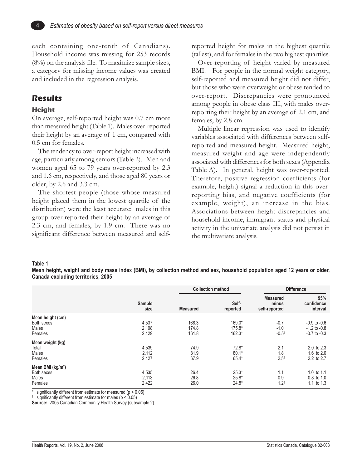

each containing one-tenth of Canadians). Household income was missing for 253 records  $(8\%)$  on the analysis file. To maximize sample sizes, a category for missing income values was created and included in the regression analysis.

## **Results**

#### **Height**

On average, self-reported height was 0.7 cm more than measured height (Table 1). Males over-reported their height by an average of 1 cm, compared with 0.5 cm for females.

The tendency to over-report height increased with age, particularly among seniors (Table 2). Men and women aged 65 to 79 years over-reported by 2.3 and 1.6 cm, respectively, and those aged 80 years or older, by 2.6 and 3.3 cm.

The shortest people (those whose measured height placed them in the lowest quartile of the distribution) were the least accurate: males in this group over-reported their height by an average of 2.3 cm, and females, by 1.9 cm. There was no significant difference between measured and selfreported height for males in the highest quartile (tallest), and for females in the two highest quartiles.

Over-reporting of height varied by measured BMI. For people in the normal weight category, self-reported and measured height did not differ, but those who were overweight or obese tended to over-report. Discrepancies were pronounced among people in obese class III, with males overreporting their height by an average of 2.1 cm, and females, by 2.8 cm.

Multiple linear regression was used to identify variables associated with differences between selfreported and measured height. Measured height, measured weight and age were independently associated with differences for both sexes (Appendix Table A). In general, height was over-reported. Therefore, positive regression coefficients (for example, height) signal a reduction in this overreporting bias, and negative coefficients (for example, weight), an increase in the bias. Associations between height discrepancies and household income, immigrant status and physical activity in the univariate analysis did not persist in the multivariate analysis.

**Table 1**

**Mean height, weight and body mass index (BMI), by collection method and sex, household population aged 12 years or older, Canada excluding territories, 2005**

|                                                        |                         |                         | <b>Collection method</b>      | <b>Difference</b>                         |                                                          |  |
|--------------------------------------------------------|-------------------------|-------------------------|-------------------------------|-------------------------------------------|----------------------------------------------------------|--|
|                                                        | Sample<br>size          | <b>Measured</b>         | Self-<br>reported             | <b>Measured</b><br>minus<br>self-reported | 95%<br>confidence<br>interval                            |  |
| Mean height (cm)<br>Both sexes<br>Males<br>Females     | 4,537<br>2,108<br>2,429 | 168.3<br>174.8<br>161.8 | 169.0*<br>175.8*<br>$162.3*$  | $-0.7$<br>$-1.0$<br>$-0.5$ <sup>t</sup>   | $-0.9$ to $-0.6$<br>$-1.2$ to $-0.8$<br>$-0.7$ to $-0.3$ |  |
| Mean weight (kg)<br>Total<br>Males<br>Females          | 4,539<br>2,112<br>2,427 | 74.9<br>81.9<br>67.9    | $72.8*$<br>$80.1*$<br>65.4*   | 2.1<br>1.8<br>$2.5^{\dagger}$             | $2.0$ to $2.3$<br>1.6 to $2.0$<br>2.2 to 2.7             |  |
| Mean BMI ( $kg/m2$ )<br>Both sexes<br>Males<br>Females | 4,535<br>2,113<br>2,422 | 26.4<br>26.8<br>26.0    | $25.3*$<br>$25.8*$<br>$24.8*$ | 1.1<br>0.9<br>$1.2^{+}$                   | 1.0 to $1.1$<br>0.8 to 1.0<br>1.1 to $1.3$               |  |

significantly different from estimate for measured ( $p < 0.05$ )

 $\dagger$  significantly different from estimate for males ( $p < 0.05$ )

**Source:** 2005 Canadian Community Health Survey (subsample 2).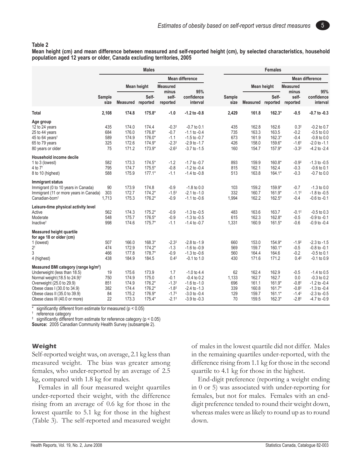**Mean height (cm) and mean difference between measured and self-reported height (cm), by selected characteristics, household population aged 12 years or older, Canada excluding territories, 2005**

|                                                                                                                                                                                                                                                               | <b>Males</b>                        |                                                    |                                                              |                                                                                            |                                                                                                                  |                                        | <b>Females</b>                                     |                                                            |                                                                                                     |                                                                                                                  |
|---------------------------------------------------------------------------------------------------------------------------------------------------------------------------------------------------------------------------------------------------------------|-------------------------------------|----------------------------------------------------|--------------------------------------------------------------|--------------------------------------------------------------------------------------------|------------------------------------------------------------------------------------------------------------------|----------------------------------------|----------------------------------------------------|------------------------------------------------------------|-----------------------------------------------------------------------------------------------------|------------------------------------------------------------------------------------------------------------------|
|                                                                                                                                                                                                                                                               |                                     |                                                    |                                                              |                                                                                            | <b>Mean difference</b>                                                                                           |                                        |                                                    |                                                            |                                                                                                     | <b>Mean difference</b>                                                                                           |
|                                                                                                                                                                                                                                                               |                                     |                                                    | <b>Mean height</b>                                           | <b>Measured</b>                                                                            |                                                                                                                  |                                        |                                                    | Mean height                                                | <b>Measured</b>                                                                                     |                                                                                                                  |
|                                                                                                                                                                                                                                                               | Sample<br>size                      | <b>Measured</b>                                    | Self-<br>reported                                            | minus<br>self-<br>reported                                                                 | 95%<br>confidence<br>interval                                                                                    | Sample<br>size                         | Measured reported                                  | Self-                                                      | minus<br>self-<br>reported                                                                          | 95%<br>confidence<br>interval                                                                                    |
| <b>Total</b>                                                                                                                                                                                                                                                  | 2,108                               | 174.8                                              | $175.8*$                                                     | $-1.0$                                                                                     | $-1.2$ to $-0.8$                                                                                                 | 2,429                                  | 161.8                                              | $162.3*$                                                   | $-0.5$                                                                                              | $-0.7$ to $-0.3$                                                                                                 |
| Age group<br>12 to 24 years<br>25 to 44 years<br>45 to 64 years <sup>t</sup><br>65 to 79 years                                                                                                                                                                | 435<br>684<br>589<br>325            | 174.0<br>176.0<br>174.9<br>172.6                   | 174.4<br>176.8*<br>176.0*<br>174.9*                          | $-0.3$ <sup>±</sup><br>$-0.7$<br>$-1.1$<br>$-2.3^{\ddagger}$                               | $-0.7$ to $0.1$<br>$-1.1$ to $-0.4$<br>$-1.5$ to $-0.7$<br>$-2.9$ to $-1.7$                                      | 435<br>735<br>673<br>426               | 162.8<br>163.3<br>161.9<br>158.0                   | 162.6<br>163.5<br>$162.3*$<br>159.6*                       | $0.3^{+}$<br>$-0.2$<br>$-0.4$<br>$-1.6^{\ddagger}$                                                  | $-0.2$ to $0.7$<br>$-0.5$ to $0.0$<br>$-0.8$ to $0.0$<br>$-2.0$ to $-1.1$                                        |
| 80 years or older                                                                                                                                                                                                                                             | 75                                  | 171.2                                              | 173.9*                                                       | $-2.6^{\ddagger}$                                                                          | $-3.7$ to $-1.5$                                                                                                 | 160                                    | 154.7                                              | 157.9*                                                     | $-3.3^{\ddagger}$                                                                                   | $-4.2$ to $-2.4$                                                                                                 |
| Household income decile<br>1 to 3 (lowest)<br>4 to $7†$<br>8 to 10 (highest)                                                                                                                                                                                  | 582<br>795<br>588                   | 173.3<br>174.7<br>175.9                            | $174.5*$<br>$175.5*$<br>$177.1*$                             | $-1.2$<br>$-0.8$<br>$-1.1$                                                                 | $-1.7$ to $-0.7$<br>$-1.2$ to $-0.4$<br>$-1.4$ to $-0.8$                                                         | 893<br>815<br>513                      | 159.9<br>162.1<br>163.8                            | 160.8*<br>162.4<br>$164.1*$                                | $-0.9^{\ddagger}$<br>$-0.3$<br>$-0.3$                                                               | $-1.3$ to $-0.5$<br>$-0.6$ to $0.1$<br>$-0.7$ to $0.0$                                                           |
| Immigrant status<br>Immigrant (0 to 10 years in Canada)<br>Immigrant (11 or more years in Canada)<br>Canadian-born <sup>t</sup>                                                                                                                               | 90<br>303<br>1,713                  | 173.9<br>172.7<br>175.3                            | 174.8<br>$174.2*$<br>$176.2*$                                | $-0.9$<br>$-1.5^{\ddagger}$<br>$-0.9$                                                      | $-1.8$ to $0.0$<br>$-2.1$ to $-1.0$<br>$-1.1$ to $-0.6$                                                          | 103<br>332<br>1,994                    | 159.2<br>160.7<br>162.2                            | 159.9*<br>161.9*<br>$162.5*$                               | $-0.7$<br>$-1.1$ <sup>±</sup><br>$-0.4$                                                             | $-1.3$ to 0.0<br>$-1.8$ to $-0.5$<br>$-0.6$ to $-0.1$                                                            |
| Leisure-time physical activity level<br>Active<br>Moderate<br>Inactive <sup>t</sup>                                                                                                                                                                           | 562<br>548<br>998                   | 174.3<br>175.7<br>174.6                            | $175.2*$<br>176.5*<br>$175.7*$                               | $-0.9$<br>$-0.9$<br>$-1.1$                                                                 | $-1.3$ to $-0.5$<br>$-1.3$ to $-0.5$<br>$-1.4$ to $-0.7$                                                         | 483<br>615<br>1,331                    | 163.6<br>162.3<br>160.9                            | 163.7<br>162.8*<br>161.5*                                  | $-0.1$ <sup>±</sup><br>$-0.5$<br>$-0.6$                                                             | $-0.5$ to $0.3$<br>$-0.9$ to $-0.1$<br>$-0.9$ to $-0.4$                                                          |
| <b>Measured height quartile</b><br>for age 18 or older (cm)<br>1 (lowest)<br>2 <sup>†</sup><br>3<br>4 (highest)                                                                                                                                               | 507<br>474<br>466<br>438            | 166.0<br>172.9<br>177.8<br>184.9                   | 168.3*<br>$174.2*$<br>178.7*<br>184.5                        | $-2.3^{\ddagger}$<br>$-1.3$<br>$-0.9$<br>$0.4^{\ddagger}$                                  | $-2.8$ to $-1.9$<br>$-1.6$ to $-0.9$<br>$-1.3$ to $-0.6$<br>$-0.1$ to 1.0                                        | 660<br>569<br>560<br>430               | 153.0<br>159.7<br>164.4<br>171.6                   | 154.9*<br>$160.1*$<br>164.6<br>171.2                       | $-1.9^{\ddagger}$<br>$-0.5$<br>$-0.2$<br>$0.4^{\ddagger}$                                           | $-2.3$ to $-1.5$<br>$-0.8$ to $-0.1$<br>$-0.5$ to $0.1$<br>$-0.1$ to $0.9$                                       |
| Measured BMI category (range kg/m <sup>2</sup> )<br>Underweight (less than 18.5)<br>Normal weight (18.5 to 24.9) <sup>t</sup><br>Overweight (25.0 to 29.9)<br>Obese class I (30.0 to 34.9)<br>Obese class II (35.0 to 39.9)<br>Obese class III (40.0 or more) | 19<br>750<br>851<br>382<br>84<br>22 | 175.6<br>174.9<br>174.9<br>174.4<br>175.2<br>173.3 | 173.9<br>175.0<br>$176.2*$<br>$176.2*$<br>176.9*<br>$175.4*$ | 1.7<br>$-0.1$<br>$-1.3^{+}$<br>$-1.8^{\ddagger}$<br>$-1.7^{\ddagger}$<br>$-2.1^{\ddagger}$ | $-1.0$ to 4.4<br>$-0.4$ to $0.2$<br>$-1.6$ to $-1.0$<br>$-2.4$ to $-1.3$<br>$-3.0$ to $-0.4$<br>$-3.9$ to $-0.3$ | 62<br>1,133<br>696<br>339<br>129<br>70 | 162.4<br>162.7<br>161.1<br>160.8<br>159.7<br>159.5 | 162.9<br>162.7<br>161.9*<br>$161.7*$<br>$161.1*$<br>162.3* | $-0.5$<br>0.0<br>$-0.8^{\ddagger}$<br>$-0.8^{\ddagger}$<br>$-1.4$ <sup>±</sup><br>$-2.8^{\ddagger}$ | $-1.4$ to 0.5<br>$-0.3$ to $0.2$<br>$-1.2$ to $-0.4$<br>$-1.3$ to $-0.4$<br>$-2.3$ to $-0.5$<br>$-4.7$ to $-0.9$ |

significantly different from estimate for measured ( $p < 0.05$ )

<sup>†</sup> reference category

significantly different from estimate for reference category ( $p < 0.05$ ) **Source:** 2005 Canadian Community Health Survey (subsample 2).

#### **Weight**

Self-reported weight was, on average, 2.1 kg less than measured weight. The bias was greater among females, who under-reported by an average of 2.5 kg, compared with 1.8 kg for males.

Females in all four measured weight quartiles under-reported their weight, with the difference rising from an average of 0.6 kg for those in the lowest quartile to 5.1 kg for those in the highest (Table 3). The self-reported and measured weight of males in the lowest quartile did not differ. Males in the remaining quartiles under-reported, with the difference rising from 1.1 kg for those in the second quartile to 4.1 kg for those in the highest.

End-digit preference (reporting a weight ending in 0 or 5) was associated with under-reporting for females, but not for males. Females with an enddigit preference tended to round their weight down, whereas males were as likely to round up as to round down.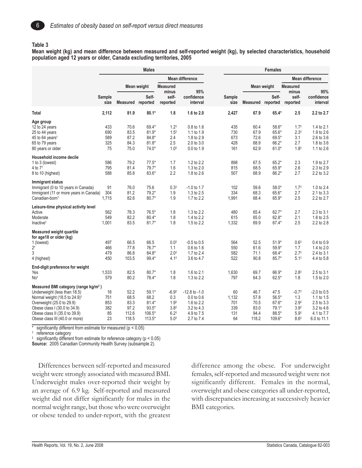

**Mean weight (kg) and mean difference between measured and self-reported weight (kg), by selected characteristics, household population aged 12 years or older, Canada excluding territories, 2005**

|                                                                                                                                                                                                                                                               | <b>Males</b>                        |                                                |                                                           |                                                                               |                                                                                             | <b>Females</b>                         |                                               |                                                          |                                                                                                          |                                                                                        |
|---------------------------------------------------------------------------------------------------------------------------------------------------------------------------------------------------------------------------------------------------------------|-------------------------------------|------------------------------------------------|-----------------------------------------------------------|-------------------------------------------------------------------------------|---------------------------------------------------------------------------------------------|----------------------------------------|-----------------------------------------------|----------------------------------------------------------|----------------------------------------------------------------------------------------------------------|----------------------------------------------------------------------------------------|
|                                                                                                                                                                                                                                                               |                                     |                                                |                                                           |                                                                               | <b>Mean difference</b>                                                                      |                                        |                                               |                                                          |                                                                                                          | <b>Mean difference</b>                                                                 |
|                                                                                                                                                                                                                                                               |                                     |                                                | Mean weight                                               | <b>Measured</b>                                                               |                                                                                             |                                        |                                               | <b>Mean weight</b>                                       | <b>Measured</b>                                                                                          |                                                                                        |
|                                                                                                                                                                                                                                                               | Sample<br>size                      | <b>Measured</b>                                | Self-<br>reported                                         | minus<br>self-<br>reported                                                    | 95%<br>confidence<br>interval                                                               | Sample<br>size                         | Measured reported                             | Self-                                                    | minus<br>self-<br>reported                                                                               | 95%<br>confidence<br>interval                                                          |
| <b>Total</b>                                                                                                                                                                                                                                                  | 2,112                               | 81.9                                           | $80.1*$                                                   | 1.8                                                                           | 1.6 to 2.0                                                                                  | 2,427                                  | 67.9                                          | $65.4*$                                                  | 2.5                                                                                                      | 2.2 to 2.7                                                                             |
| Age group<br>12 to 24 years<br>25 to 44 years<br>45 to 64 years <sup>t</sup><br>65 to 79 years<br>80 years or older                                                                                                                                           | 433<br>690<br>589<br>325<br>75      | 70.6<br>83.5<br>87.2<br>84.3<br>75.0           | 69.4*<br>$81.9*$<br>84.8*<br>$81.8*$<br>$74.0*$           | $1.2^{+}$<br>$1.5^{+}$<br>2.4<br>2.5<br>$1.0^{+}$                             | 0.8 to 1.6<br>1.1 to 1.9<br>1.8 to 2.9<br>2.0 to 3.0<br>0.0 to 1.9                          | 435<br>730<br>673<br>428<br>161        | 60.4<br>67.9<br>72.6<br>68.9<br>62.9          | 58.6*<br>65.6*<br>69.5*<br>66.2*<br>$61.0*$              | $1.7^{\ddagger}$<br>$2.3^{\ddagger}$<br>3.1<br>2.7<br>$1.8^{+}$                                          | 1.4 to 2.1<br>1.9 to 2.6<br>2.6 to 3.6<br>1.8 to 3.6<br>1.1 to 2.6                     |
| Household income decile<br>1 to 3 (lowest)<br>4 to $7†$<br>8 to 10 (highest)                                                                                                                                                                                  | 586<br>795<br>588                   | 79.2<br>81.4<br>85.8                           | $77.5*$<br>$79.7*$<br>83.6*                               | 1.7<br>1.6<br>2.2                                                             | 1.2 to 2.2<br>1.3 to 2.0<br>1.8 to 2.6                                                      | 898<br>815<br>507                      | 67.5<br>68.5<br>68.9                          | 65.2*<br>65.9*<br>66.2*                                  | 2.3<br>2.6<br>2.7                                                                                        | 1.9 to 2.7<br>2.3 to 2.9<br>2.2 to 3.2                                                 |
| Immigrant status<br>Immigrant (0 to 10 years in Canada)<br>Immigrant (11 or more years in Canada)<br>Canadian-born <sup>t</sup>                                                                                                                               | 91<br>304<br>1,715                  | 76.0<br>81.2<br>82.6                           | 75.6<br>$79.2*$<br>$80.7*$                                | $0.3*$<br>1.9<br>1.9                                                          | $-1.0$ to 1.7<br>1.3 to 2.5<br>1.7 to 2.2                                                   | 102<br>334<br>1,991                    | 59.6<br>68.3<br>68.4                          | $58.0*$<br>65.6*<br>65.9*                                | $1.7^{\ddagger}$<br>2.7<br>2.5                                                                           | 1.0 to 2.4<br>2.1 to 3.3<br>2.2 to 2.7                                                 |
| Leisure-time physical activity level<br>Active<br>Moderate<br>Inactive <sup>t</sup>                                                                                                                                                                           | 562<br>549<br>1,001                 | 78.3<br>82.2<br>83.5                           | $76.5*$<br>80.4*<br>$81.7*$                               | 1.8<br>1.8<br>1.8                                                             | 1.3 to 2.2<br>1.4 to 2.2<br>1.5 to 2.2                                                      | 480<br>615<br>1,332                    | 65.4<br>65.0<br>69.9                          | $62.7*$<br>$62.8*$<br>67.4*                              | 2.7<br>2.1<br>2.5                                                                                        | 2.3 to 3.1<br>1.8 to 2.5<br>2.2 to 2.8                                                 |
| <b>Measured weight quartile</b><br>for age18 or older (kg)<br>1 (lowest)<br>2 <sup>†</sup><br>3<br>4 (highest)                                                                                                                                                | 497<br>466<br>479<br>450            | 66.5<br>77.8<br>86.8<br>103.5                  | 66.5<br>$76.7*$<br>84.8*<br>99.4*                         | $0.0^{+}$<br>1.1<br>$2.0^{+}$<br>$4.1^{\ddagger}$                             | $-0.5$ to $0.5$<br>0.6 to 1.6<br>1.7 to 2.4<br>3.6 to 4.7                                   | 564<br>550<br>582<br>522               | 52.5<br>61.6<br>71.1<br>90.8                  | $51.9*$<br>59.9*<br>68.4*<br>85.7*                       | $0.6^{+}$<br>1.7<br>$2.7^{\ddagger}$<br>$5.1^{\ddagger}$                                                 | 0.4 to 0.9<br>1.4 to 2.0<br>2.4 to 3.1<br>4.4 to 5.8                                   |
| End-digit preference for weight<br>Yes<br>No <sup>t</sup>                                                                                                                                                                                                     | 1,533<br>579                        | 82.5<br>80.2                                   | $80.7*$<br>78.4*                                          | 1.8<br>1.8                                                                    | 1.6 to 2.1<br>1.3 to 2.2                                                                    | 1,630<br>797                           | 69.7<br>64.3                                  | 66.9*<br>$62.5*$                                         | $2.8^{\scriptscriptstyle \ddag}$<br>1.8                                                                  | 2.5 to 3.1<br>1.5 to 2.0                                                               |
| Measured BMI category (range kg/m <sup>2</sup> )<br>Underweight (less than 18.5)<br>Normal weight (18.5 to 24.9) <sup>t</sup><br>Overweight (25.0 to 29.9)<br>Obese class I (30.0 to 34.9)<br>Obese class II (35.0 to 39.9)<br>Obese class III (40.0 or more) | 18<br>751<br>853<br>382<br>85<br>23 | 52.2<br>68.5<br>83.3<br>97.2<br>112.6<br>118.5 | 59.1*<br>68.2<br>$81.4*$<br>$93.5*$<br>106.5*<br>$113.5*$ | $-6.9‡$<br>0.3<br>$1.9^{\ddagger}$<br>$3.8^{\ddagger}$<br>$6.2^{+}$<br>$5.0*$ | $-12.8$ to $-1.0$<br>$0.0$ to $0.6$<br>1.6 to 2.2<br>3.2 to 4.3<br>4.9 to 7.5<br>2.7 to 7.4 | 60<br>1,132<br>701<br>339<br>131<br>64 | 46.7<br>57.8<br>70.5<br>83.0<br>94.4<br>118.2 | 47.5<br>$56.5*$<br>$67.6*$<br>$79.1*$<br>88.5*<br>109.6* | $-0.7^{\ddagger}$<br>1.3<br>$2.9^{\ddagger}$<br>$3.9^{\ddagger}$<br>$5.9^{\ddagger}$<br>$8.6^{\ddagger}$ | $-2.0$ to $0.5$<br>1.1 to 1.5<br>2.5 to 3.3<br>3.2 to 4.6<br>4.1 to 7.7<br>6.0 to 11.1 |

significantly different from estimate for measured ( $p < 0.05$ )

† reference category

 $\frac{1}{2}$  significantly different from estimate for reference category (p < 0.05)

**Source:** 2005 Canadian Community Health Survey (subsample 2).

Differences between self-reported and measured weight were strongly associated with measured BMI. Underweight males over-reported their weight by an average of 6.9 kg. Self-reported and measured weight did not differ significantly for males in the normal weight range, but those who were overweight or obese tended to under-report, with the greatest difference among the obese. For underweight females, self-reported and measured weight were not significantly different. Females in the normal, overweight and obese categories all under-reported, with discrepancies increasing at successively heavier BMI categories.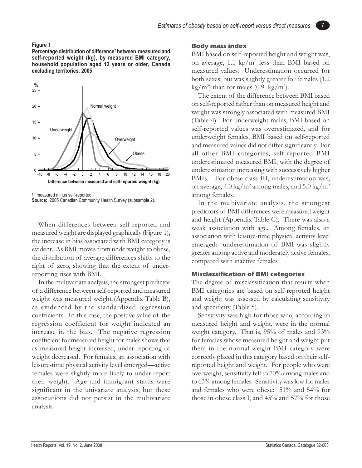#### **Figure 1**

**Percentage distribution of difference† between measured and self-reported weight (kg), by measured BMI category, household population aged 12 years or older, Canada excluding territories, 2005**



<sup>†</sup> measured minus self-reported Source: 2005 Canadian Community Health Survey (subsample 2).

When differences between self-reported and measured weight are displayed graphically (Figure 1), the increase in bias associated with BMI category is evident. As BMI moves from underweight to obese, the distribution of average differences shifts to the right of zero, showing that the extent of underreporting rises with BMI.

In the multivariate analysis, the strongest predictor of a difference between self-reported and measured weight was measured weight (Appendix Table B), as evidenced by the standardized regression coefficients. In this case, the positive value of the regression coefficient for weight indicated an increase in the bias. The negative regression coefficient for measured height for males shows that as measured height increased, under-reporting of weight decreased. For females, an association with leisure-time physical activity level emerged—active females were slightly more likely to under-report their weight. Age and immigrant status were significant in the univariate analysis, but these associations did not persist in the multivariate analysis.

#### **Body mass index**

BMI based on self-reported height and weight was, on average, 1.1 kg/m<sup>2</sup> less than BMI based on measured values. Underestimation occurred for both sexes, but was slightly greater for females (1.2  $\text{kg/m}^2$ ) than for males (0.9 kg/m<sup>2</sup>).

The extent of the difference between BMI based on self-reported rather than on measured height and weight was strongly associated with measured BMI (Table 4). For underweight males, BMI based on self-reported values was overestimated, and for underweight females, BMI based on self-reported and measured values did not differ significantly. For all other BMI categories, self-reported BMI underestimated measured BMI, with the degree of underestimation increasing with successively higher BMIs. For obese class III, underestimation was, on average,  $4.0 \text{ kg/m}^2$  among males, and  $5.0 \text{ kg/m}^2$ among females.

In the multivariate analysis, the strongest predictors of BMI differences were measured weight and height (Appendix Table C). There was also a weak association with age. Among females, an association with leisure-time physical activity level emerged: underestimation of BMI was slightly greater among active and moderately active females, compared with inactive females

#### **Misclassification of BMI categories**

The degree of misclassification that results when BMI categories are based on self-reported height and weight was assessed by calculating sensitivity and specificity (Table 5).

Sensitivity was high for those who, according to measured height and weight, were in the normal weight category. That is, 95% of males and 93% for females whose measured height and weight put them in the normal weight BMI category were correctly placed in this category based on their selfreported height and weight. For people who were overweight, sensitivity fell to 70% among males and to 63% among females. Sensitivity was low for males and females who were obese: 51% and 54% for those in obese class I, and 45% and 57% for those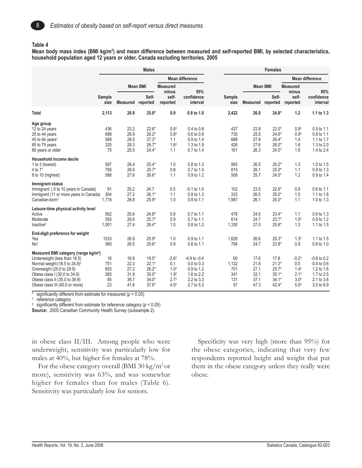

**Mean body mass index (BMI kg/m2 ) and mean difference between measured and self-reported BMI, by selected characteristics, household population aged 12 years or older, Canada excluding territories, 2005**

|                                                                                                                                                                                                                                                               | <b>Males</b>                        |                                              |                                                                |                                                                                     |                                                                                            |                                        | <b>Females</b>                               |                                                             |                                                                                        |                                                                                       |
|---------------------------------------------------------------------------------------------------------------------------------------------------------------------------------------------------------------------------------------------------------------|-------------------------------------|----------------------------------------------|----------------------------------------------------------------|-------------------------------------------------------------------------------------|--------------------------------------------------------------------------------------------|----------------------------------------|----------------------------------------------|-------------------------------------------------------------|----------------------------------------------------------------------------------------|---------------------------------------------------------------------------------------|
|                                                                                                                                                                                                                                                               |                                     |                                              |                                                                |                                                                                     | <b>Mean difference</b>                                                                     |                                        |                                              |                                                             |                                                                                        | <b>Mean difference</b>                                                                |
|                                                                                                                                                                                                                                                               |                                     |                                              | <b>Mean BMI</b>                                                | <b>Measured</b><br>minus                                                            | 95%                                                                                        |                                        | <b>Mean BMI</b>                              |                                                             | <b>Measured</b><br>minus                                                               | 95%                                                                                   |
|                                                                                                                                                                                                                                                               | Sample<br>size                      | Measured                                     | Self-<br>reported                                              | self-<br>reported                                                                   | confidence<br>interval                                                                     | Sample<br>size                         | Measured reported                            | Self-                                                       | self-<br>reported                                                                      | confidence<br>interval                                                                |
| Total                                                                                                                                                                                                                                                         | 2,113                               | 26.8                                         | $25.8*$                                                        | 0.9                                                                                 | 0.8 to 1.0                                                                                 | 2,422                                  | 26.0                                         | $24.8*$                                                     | 1.2                                                                                    | 1.1 to 1.3                                                                            |
| Age group<br>12 to 24 years<br>25 to 44 years<br>45 to 64 years <sup>t</sup><br>65 to 79 years<br>80 years or older                                                                                                                                           | 436<br>688<br>589<br>325<br>75      | 23.2<br>26.9<br>28.5<br>28.3<br>25.5         | $22.6*$<br>$26.2*$<br>$27.3*$<br>$26.7*$<br>$24.4*$            | $0.6^{+}$<br>$0.8^{+}$<br>1.1<br>$1.6^{+}$<br>1.1                                   | 0.4 to 0.8<br>0.6 to 0.9<br>0.9 to 1.4<br>1.3 to 1.9<br>0.7 to 1.4                         | 437<br>730<br>668<br>426<br>161        | 22.8<br>25.5<br>27.8<br>27.6<br>26.3         | $22.0*$<br>$24.6*$<br>$26.4*$<br>$26.0*$<br>$24.5*$         | $0.8^{+}$<br>$0.9^{+}$<br>1.4<br>1.6<br>1.9                                            | 0.5 to 1.1<br>0.8 to 1.1<br>1.1 to 1.7<br>1.3 to 2.0<br>1.4 to 2.4                    |
| Household income decile<br>1 to 3 (lowest)<br>4 to $7†$<br>8 to 10 (highest)                                                                                                                                                                                  | 587<br>795<br>588                   | 26.4<br>26.6<br>27.6                         | $25.4*$<br>$25.7*$<br>$26.6*$                                  | 1.0<br>0.8<br>1.1                                                                   | 0.8 to 1.3<br>0.7 to 1.0<br>0.9 to 1.2                                                     | 893<br>815<br>508                      | 26.5<br>26.1<br>25.7                         | $25.2*$<br>$25.0*$<br>$24.5*$                               | 1.3<br>1.1<br>1.2                                                                      | 1.0 to 1.5<br>0.9 to 1.3<br>0.9 to 1.4                                                |
| Immigrant status<br>Immigrant: (0 to 10 years in Canada)<br>Immigrant (11 or more years in Canada)<br>Canadian-born <sup>t</sup>                                                                                                                              | 91<br>304<br>1.716                  | 25.2<br>27.2<br>26.8                         | 24.7<br>$26.1*$<br>$25.9*$                                     | 0.5<br>1.1<br>1.0                                                                   | $-0.1$ to $1.0$<br>0.9 to 1.3<br>0.8 to 1.1                                                | 102<br>333<br>1,987                    | 23.5<br>26.5<br>26.1                         | $22.6*$<br>$25.0*$<br>$25.0*$                               | 0.9<br>1.5<br>1.1                                                                      | 0.6 to 1.1<br>1.1 to 1.8<br>1.0 to 1.3                                                |
| Leisure-time physical activity level<br>Active<br>Moderate<br>Inactive <sup>t</sup>                                                                                                                                                                           | 562<br>550<br>1,001                 | 25.6<br>26.6<br>27.4                         | $24.8*$<br>$25.7*$<br>$26.4*$                                  | 0.9<br>0.9<br>1.0                                                                   | 0.7 to 1.1<br>0.7 to 1.1<br>0.8 to 1.2                                                     | 478<br>614<br>1,330                    | 24.5<br>24.7<br>27.0                         | $23.4*$<br>$23.7*$<br>$25.8*$                               | 1.1<br>$1.0^{+}$<br>1.3                                                                | 0.9 to 1.3<br>0.9 to 1.2<br>1.1 to 1.5                                                |
| End-digit preference for weight<br>Yes<br>No <sup>t</sup>                                                                                                                                                                                                     | 1533<br>580                         | 26.9<br>26.5                                 | $25.9*$<br>$25.6*$                                             | 1.0<br>0.9                                                                          | 0.9 to 1.1<br>0.6 to 1.1                                                                   | 1,628<br>794                           | 26.6<br>24.7                                 | $25.3*$<br>$23.8*$                                          | $1.3^{+}$<br>0.9                                                                       | 1.1 to 1.5<br>0.8 to 1.0                                                              |
| Measured BMI category (range kg/m <sup>2</sup> )<br>Underweight (less than 18.5)<br>Normal weight (18.5 to 24.9) <sup>t</sup><br>Overweight (25.0 to 29.9)<br>Obese class I (30.0 to 34.9)<br>Obese class II (35.0 to 39.9)<br>Obese class III (40.0 or more) | 18<br>751<br>853<br>383<br>85<br>23 | 16.9<br>22.3<br>27.2<br>31.9<br>36.7<br>41.6 | $19.5*$<br>$22.1*$<br>$26.2*$<br>$30.0*$<br>$34.0*$<br>$37.6*$ | $-2.6^{\ddagger}$<br>0.1<br>$1.0^{+}$<br>$1.9^{+}$<br>$2.7^{\ddagger}$<br>$4.0^{+}$ | $-4.9$ to $-0.4$<br>$0.0$ to $0.3$<br>0.9 to 1.2<br>1.6 to 2.2<br>2.2 to 3.3<br>2.7 to 5.3 | 60<br>1,132<br>701<br>341<br>131<br>57 | 17.6<br>21.8<br>27.1<br>32.1<br>37.1<br>47.3 | 17.8<br>$21.3*$<br>$25.7*$<br>$30.1*$<br>$34.1*$<br>$42.4*$ | $-0.2$ <sup>+</sup><br>0.5<br>$1.4^{\ddagger}$<br>$2.1^{\ddagger}$<br>$3.0*$<br>$5.0*$ | $-0.6$ to $0.2$<br>0.4 to 0.6<br>1.2 to 1.6<br>1.7 to 2.5<br>2.1 to 3.8<br>3.0 to 6.9 |

significantly different from estimate for measured ( $p < 0.05$ )

† reference category

‡ significantly different from estimate for reference category (p < 0.05)

**Source:** 2005 Canadian Community Health Survey (subsample 2).

in obese class II/III. Among people who were underweight, sensitivity was particularly low for males at 40%, but higher for females at 78%.

For the obese category overall (BMI 30 kg/m<sup>2</sup> or more), sensitivity was 63%, and was somewhat higher for females than for males (Table 6). Sensitivity was particularly low for seniors.

Specificity was very high (more than 95%) for the obese categories, indicating that very few respondents reported height and weight that put them in the obese category unless they really were obese.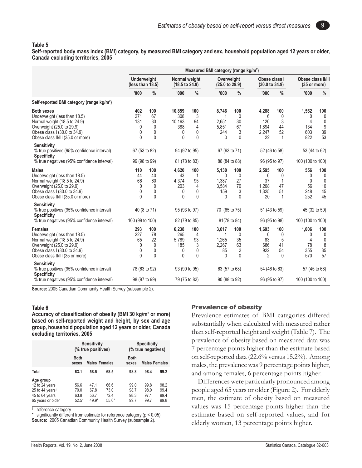**Self-reported body mass index (BMI) category, by measured BMI category and sex, household population aged 12 years or older, Canada excluding territories, 2005**

|                                                                                                                                                                                     | Measured BMI category (range kg/m <sup>2</sup> )   |                                          |                                               |                                      |                                                 |                                                      |                                                  |                                       |                                                   |                                                       |
|-------------------------------------------------------------------------------------------------------------------------------------------------------------------------------------|----------------------------------------------------|------------------------------------------|-----------------------------------------------|--------------------------------------|-------------------------------------------------|------------------------------------------------------|--------------------------------------------------|---------------------------------------|---------------------------------------------------|-------------------------------------------------------|
|                                                                                                                                                                                     | <b>Underweight</b><br>(less than 18.5)             |                                          | Normal weight<br>$(18.5 \text{ to } 24.9)$    |                                      | Overweight<br>$(25.0 \text{ to } 29.9)$         |                                                      | Obese class I<br>$(30.0 \text{ to } 34.9)$       |                                       | Obese class II/III<br>$(35 \text{ or more})$      |                                                       |
|                                                                                                                                                                                     | '000'                                              | $\frac{0}{0}$                            | '000                                          | $\frac{0}{0}$                        | '000                                            | $\frac{0}{0}$                                        | '000                                             | $\frac{0}{0}$                         | '000                                              | $\frac{0}{0}$                                         |
| Self-reported BMI category (range kg/m <sup>2</sup> )                                                                                                                               |                                                    |                                          |                                               |                                      |                                                 |                                                      |                                                  |                                       |                                                   |                                                       |
| <b>Both sexes</b><br>Underweight (less than 18.5)<br>Normal weight (18.5 to 24.9)<br>Overweight (25.0 to 29.9)<br>Obese class I (30.0 to 34.9)<br>Obese class II/III (35.0 or more) | 402<br>271<br>131<br>$\mathbf{0}$<br>0<br>$\Omega$ | 100<br>67<br>33<br>0<br>0<br>0           | 10,859<br>308<br>10,163<br>388<br>0<br>0      | 100<br>3<br>94<br>4<br>0<br>$\Omega$ | 8,746<br>1<br>2.651<br>5,851<br>244<br>$\Omega$ | 100<br>0<br>30<br>67<br>3<br>$\mathbf{0}$            | 4,288<br>6<br>120<br>1.894<br>2,247<br>22        | 100<br>0<br>3<br>44<br>52<br>1        | 1,562<br>0<br>$\overline{4}$<br>134<br>603<br>822 | 100<br>$\mathbf{0}$<br>0<br>9<br>39<br>53             |
| <b>Sensitivity</b><br>% true positives (95% confidence interval)<br><b>Specificity</b>                                                                                              | 67 (53 to 82)                                      |                                          | 94 (92 to 95)                                 |                                      | 67 (63 to 71)                                   |                                                      | 52 (46 to 58)                                    |                                       | 53 (44 to 62)                                     |                                                       |
| % true negatives (95% confidence interval)                                                                                                                                          | 99 (98 to 99)                                      |                                          | 81 (78 to 83)                                 |                                      | 86 (84 to 88)                                   |                                                      | 96 (95 to 97)                                    |                                       | 100 (100 to 100)                                  |                                                       |
| <b>Males</b><br>Underweight (less than 18.5)<br>Normal weight (18.5 to 24.9)<br>Overweight (25.0 to 29.9)<br>Obese class I (30.0 to 34.9)<br>Obese class II/III (35.0 or more)      | 110<br>44<br>66<br>0<br>0<br>$\Omega$              | 100<br>40<br>60<br>0<br>$\mathbf 0$<br>0 | 4,620<br>43<br>4,374<br>203<br>0<br>0         | 100<br>95<br>4<br>0<br>$\Omega$      | 5,130<br>0<br>1,387<br>3,584<br>159<br>$\Omega$ | 100<br>0<br>27<br>70<br>3<br>0                       | 2,595<br>6<br>37<br>1.208<br>1.325<br>20         | 100<br>0<br>1<br>47<br>51<br>1        | 556<br>0<br>$\Omega$<br>56<br>248<br>252          | 100<br>$\mathbf{0}$<br>$\mathbf{0}$<br>10<br>45<br>45 |
| <b>Sensitivity</b><br>% true positives (95% confidence interval)<br><b>Specificity</b><br>% true negatives (95% confidence interval)                                                | 100 (99 to 100)                                    | 40 (8 to 71)                             | 95 (93 to 97)<br>82 (79 to 85)                |                                      | 70 (65 to 75)<br>81(78 to 84)                   |                                                      | 51 (43 to 59)<br>96 (95 to 98)                   |                                       | 45 (32 to 59)<br>100 (100 to 100)                 |                                                       |
| <b>Females</b><br>Underweight (less than 18.5)<br>Normal weight (18.5 to 24.9)<br>Overweight (25.0 to 29.9)<br>Obese class I (30.0 to 34.9)<br>Obese class II/III (35 or more)      | 293<br>227<br>65<br>$\mathbf{0}$<br>0<br>$\Omega$  | 100<br>78<br>22<br>0<br>0<br>0           | 6,238<br>265<br>5,789<br>185<br>0<br>$\Omega$ | 100<br>4<br>93<br>3<br>0<br>$\Omega$ | 3,617<br>1<br>1,265<br>2.267<br>85<br>$\Omega$  | 100<br>$\mathbf{0}$<br>35<br>63<br>2<br>$\mathbf{0}$ | 1,693<br>0<br>83<br>686<br>922<br>$\overline{2}$ | 100<br>0<br>5<br>41<br>54<br>$\Omega$ | 1,006<br>0<br>4<br>78<br>355<br>570               | 100<br>$\mathbf{0}$<br>0<br>8<br>35<br>57             |
| <b>Sensitivity</b><br>% true positives (95% confidence interval)<br><b>Specificity</b>                                                                                              | 78 (63 to 92)                                      |                                          | 93 (90 to 95)                                 |                                      | 63 (57 to 68)                                   |                                                      | 54 (46 to 63)                                    |                                       | 57 (45 to 68)                                     |                                                       |
| % true negatives (95% confidence interval)                                                                                                                                          | 98 (97 to 99)                                      |                                          | 79 (75 to 82)                                 |                                      | 90 (88 to 92)                                   |                                                      | 96 (95 to 97)                                    |                                       | 100 (100 to 100)                                  |                                                       |

**Source:** 2005 Canadian Community Health Survey (subsample 2).

#### **Table 6**

Accuracy of classification of obesity (BMI 30 kg/m<sup>2</sup> or more) **based on self-reported weight and height, by sex and age group, household population aged 12 years or older, Canada excluding territories, 2005**

|                                                                                                   |                                 | <b>Sensitivity</b><br>(% true positives) |                                 |                              | <b>Specificity</b><br>(% true negatives) |                              |  |
|---------------------------------------------------------------------------------------------------|---------------------------------|------------------------------------------|---------------------------------|------------------------------|------------------------------------------|------------------------------|--|
|                                                                                                   | <b>Both</b><br>sexes            | <b>Males Females</b>                     |                                 | <b>Both</b><br>sexes         | <b>Males Females</b>                     |                              |  |
| Total                                                                                             | 63.1                            | 58.5                                     | 68.5                            | 98.8                         | 98.4                                     | 99.2                         |  |
| Age group<br>12 to 24 years<br>25 to 44 years <sup>t</sup><br>45 to 64 years<br>65 years or older | 56.6<br>70.0<br>63.8<br>$52.5*$ | 47.1<br>67.8<br>56.7<br>$49.9*$          | 66.6<br>73.0<br>72.4<br>$55.0*$ | 99.0<br>98.7<br>98.3<br>99.7 | 99.8<br>98.0<br>97.1<br>99.7             | 98.2<br>99.4<br>99.4<br>99.8 |  |

reference category

significantly different from estimate for reference category ( $p < 0.05$ ) **Source:** 2005 Canadian Community Health Survey (subsample 2).

#### **Prevalence of obesity**

Prevalence estimates of BMI categories differed substantially when calculated with measured rather than self-reported height and weight (Table 7).The prevalence of obesity based on measured data was 7 percentage points higher than the estimate based on self-reported data (22.6% versus 15.2%). Among males, the prevalence was 9 percentage points higher, and among females, 6 percentage points higher.

Differences were particularly pronounced among people aged 65 years or older (Figure 2). For elderly men, the estimate of obesity based on measured values was 15 percentage points higher than the estimate based on self-reported values, and for elderly women, 13 percentage points higher.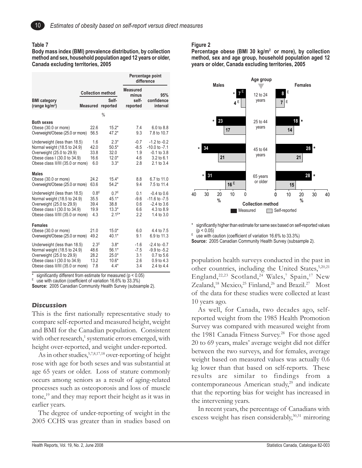

**Body mass index (BMI) prevalence distribution, by collection method and sex, household population aged 12 years or older, Canada excluding territories, 2005**

|                                                                                                                                                                |                                                 |                                                           |                                       | Percentage point<br>difference                                                       |
|----------------------------------------------------------------------------------------------------------------------------------------------------------------|-------------------------------------------------|-----------------------------------------------------------|---------------------------------------|--------------------------------------------------------------------------------------|
| <b>BMI</b> category<br>(range $kg/m2$ )                                                                                                                        |                                                 | <b>Collection method</b><br>Self-<br>Measured reported    |                                       | 95%<br>confidence<br>interval                                                        |
|                                                                                                                                                                |                                                 | $\%$                                                      |                                       |                                                                                      |
| <b>Both sexes</b><br>Obese (30.0 or more)<br>Overweight/Obese (25.0 or more)                                                                                   | 22.6<br>56.5                                    | $15.2*$<br>$47.2*$                                        | 7.4<br>9.3                            | 6.0 to 8.8<br>7.8 to 10.7                                                            |
| Underweight (less than 18.5)<br>Normal weight (18.5 to 24.9)<br>Overweight (25.0 to 29.9)<br>Obese class I (30.0 to 34.9)<br>Obese class II/III (35.0 or more) | 1.6<br>42.0<br>33.8<br>16.6<br>6.0              | $2.3*$<br>$50.5*$<br>32.0<br>$12.0*$<br>$3.3*$            | $-0.7$<br>$-8.5$<br>1.9<br>4.6<br>2.8 | $-1.2$ to $-0.2$<br>$-10.0$ to $-7.1$<br>$-0.1$ to $3.8$<br>3.2 to 6.1<br>2.1 to 3.4 |
| <b>Males</b><br>Obese (30.0 or more)<br>Overweight/Obese (25.0 or more)                                                                                        | 24.2<br>63.6                                    | $15.4*$<br>$54.2*$                                        | 8.8<br>9.4                            | 6.7 to 11.0<br>7.5 to 11.4                                                           |
| Underweight (less than 18.5)<br>Normal weight (18.5 to 24.9)<br>Overweight (25.0 to 29.9)<br>Obese class I (30.0 to 34.9)<br>Obese class II/III (35.0 or more) | 0.8 <sup>E</sup><br>35.5<br>39.4<br>19.9<br>4.3 | 0.7 <sup>E</sup><br>$45.1*$<br>38.8<br>$13.3*$<br>$2.1E*$ | 0.1<br>$-9.6$<br>0.6<br>6.6<br>2.2    | $-0.4$ to $0.6$<br>$-11.6$ to $-7.5$<br>$-2.4$ to $3.6$<br>4.3 to 8.9<br>1.4 to 3.0  |
| <b>Females</b><br>Obese (30.0 or more)<br>Overweight/Obese (25.0 or more)                                                                                      | 21.0<br>49.2                                    | $15.0*$<br>$40.1*$                                        | 6.0<br>9.1                            | 4.4 to 7.5<br>6.9 to 11.3                                                            |
| Underweight (less than 18.5)<br>Normal weight (18.5 to 24.9)<br>Overweight (25.0 to 29.9)<br>Obese class I (30.0 to 34.9)<br>Obese class II/III (35.0 or more) | 2.3 <sup>E</sup><br>48.6<br>28.2<br>13.2<br>7.8 | $3.8*$<br>$56.1*$<br>$25.0*$<br>$10.6*$<br>$4.4*$         | $-1.6$<br>$-7.5$<br>3.1<br>2.6<br>3.4 | $-2.4$ to $-0.7$<br>$-9.9$ to $-5.2$<br>0.7 to 5.6<br>0.9 to 4.3<br>2.4 to 4.4       |

 $*$  significantly different from estimate for measured ( $p < 0.05$ )

 $E$  use with caution (coefficient of variation 16.6% to 33.3%)

**Source:** 2005 Canadian Community Health Survey (subsample 2).

#### **Discussion**

This is the first nationally representative study to compare self-reported and measured height, weight and BMI for the Canadian population. Consistent with other research,<sup>1</sup> systematic errors emerged, with height over-reported, and weight under-reported.

As in other studies,<sup>5,7,8,17,18</sup> over-reporting of height rose with age for both sexes and was substantial at age 65 years or older. Loss of stature commonly occurs among seniors as a result of aging-related processes such as osteoporosis and loss of muscle tone,19 and they may report their height as it was in earlier years.

The degree of under-reporting of weight in the 2005 CCHS was greater than in studies based on

#### **Figure 2**

**Percentage obese (BMI 30 kg/m2 or more), by collection method, sex and age group, household population aged 12 years or older, Canada excluding territories, 2005**



significantly higher than estimate for same sex based on self-reported values  $(p < 0.05)$ 

 $E = \frac{1}{2}$  use with caution (coefficient of variation 16.6% to 33.3%)

**Source:** 2005 Canadian Community Health Survey (subsample 2).

population health surveys conducted in the past in other countries, including the United States,<sup>5,20,21</sup> England,<sup>22,23</sup> Scotland,<sup>24</sup> Wales,<sup>7</sup> Spain,<sup>17</sup> New Zealand,<sup>18</sup> Mexico,<sup>25</sup> Finland,<sup>26</sup> and Brazil.<sup>27</sup> Most of the data for these studies were collected at least 10 years ago.

As well, for Canada, two decades ago, selfreported weight from the 1985 Health Promotion Survey was compared with measured weight from the 1981 Canada Fitness Survey.<sup>28</sup> For those aged 20 to 69 years, males' average weight did not differ between the two surveys, and for females, average weight based on measured values was actually 0.6 kg lower than that based on self-reports. These results are similar to findings from a contemporaneous American study,<sup>29</sup> and indicate that the reporting bias for weight has increased in the intervening years.

In recent years, the percentage of Canadians with excess weight has risen considerably, $30,31$  mirroring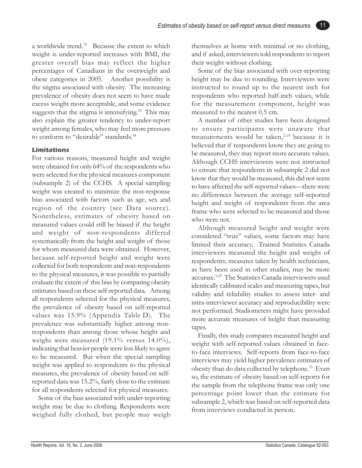a worldwide trend.<sup>32</sup> Because the extent to which weight is under-reported increases with BMI, the greater overall bias may reflect the higher percentages of Canadians in the overweight and obese categories in 2005. Another possibility is the stigma associated with obesity. The increasing prevalence of obesity does not seem to have made excess weight more acceptable, and some evidence suggests that the stigma is intensifying.<sup>33</sup> This may also explain the greater tendency to under-report weight among females, who may feel more pressure to conform to "desirable" standards.<sup>34</sup>

## **Limitations**

For various reasons, measured height and weight were obtained for only 64% of the respondents who were selected for the physical measures component (subsample 2) of the CCHS. A special sampling weight was created to minimize the non-response bias associated with factors such as age, sex and region of the country (see Data source). Nonetheless, estimates of obesity based on measured values could still be biased if the height and weight of non-respondents differed systematically from the height and weight of those for whom measured data were obtained. However, because self-reported height and weight were collected for both respondents and non-respondents to the physical measures, it was possible to partially evaluate the extent of this bias by comparing obesity estimates based on these self-reported data. Among all respondents selected for the physical measures, the prevalence of obesity based on self-reported values was 15.9% (Appendix Table D). The prevalence was substantially higher among nonrespondents than among those whose height and weight were measured (19.1% versus 14.0%), indicating that heavier people were less likely to agree to be measured. But when the special sampling weight was applied to respondents to the physical measures, the prevalence of obesity based on selfreported data was 15.2%, fairly close to the estimate for all respondents selected for physical measures.

Some of the bias associated with under-reporting weight may be due to clothing. Respondents were weighed fully clothed, but people may weigh themselves at home with minimal or no clothing, and if asked, interviewers told respondents to report their weight without clothing.

11

Some of the bias associated with over-reporting height may be due to rounding. Interviewers were instructed to round up to the nearest inch for respondents who reported half-inch values, while for the measurement component, height was measured to the nearest 0.5 cm.

A number of other studies have been designed to ensure participants were unaware that measurements would be taken, $2,18$  because it is believed that if respondents know they are going to be measured, they may report more accurate values. Although CCHS interviewers were not instructed to ensure that respondents in subsample 2 did not know that they would be measured, this did not seem to have affected the self-reported values—there were no differences between the average self-reported height and weight of respondents from the area frame who were selected to be measured and those who were not.

Although measured height and weight were considered "true" values, some factors may have limited their accuracy. Trained Statistics Canada interviewers measured the height and weight of respondents; measures taken by health technicians, as have been used in other studies, may be more accurate.5,29 The Statistics Canada interviewers used identically calibrated scales and measuring tapes, but validity and reliability studies to assess inter- and intra-interviewer accuracy and reproducibility were not performed. Stadiometers might have provided more accurate measures of height than measuring tapes.

Finally, this study compares measured height and weight with self-reported values obtained in faceto-face interviews. Self-reports from face-to-face interviews may yield higher prevalence estimates of obesity than do data collected by telephone.<sup>35</sup> Even so, the estimate of obesity based on self-reports for the sample from the telephone frame was only one percentage point lower than the estimate for subsample 2, which was based on self-reported data from interviews conducted in person.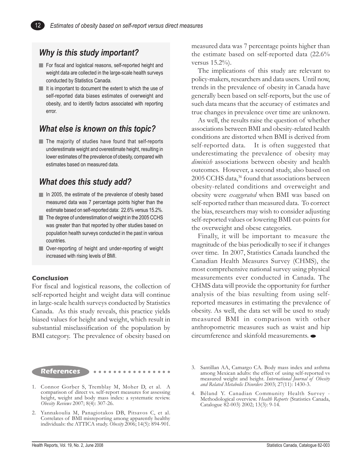## *Why is this study important?*

12

- For fiscal and logistical reasons, self-reported height and weight data are collected in the large-scale health surveys conducted by Statistics Canada.
- $\blacksquare$  It is important to document the extent to which the use of self-reported data biases estimates of overweight and obesity, and to identify factors associated with reporting error.

## *What else is known on this topic?*

The majority of studies have found that self-reports underestimate weight and overestimate height, resulting in lower estimates of the prevalence of obesity, compared with estimates based on measured data.

## *What does this study add?*

- In 2005, the estimate of the prevalence of obesity based measured data was 7 percentage points higher than the estimate based on self-reported data: 22.6% versus 15.2%.
- The degree of underestimation of weight in the 2005 CCHS was greater than that reported by other studies based on population health surveys conducted in the past in various countries.
- Over-reporting of height and under-reporting of weight increased with rising levels of BMI.

#### **Conclusion**

For fiscal and logistical reasons, the collection of self-reported height and weight data will continue in large-scale health surveys conducted by Statistics Canada. As this study reveals, this practice yields biased values for height and weight, which result in substantial misclassification of the population by BMI category. The prevalence of obesity based on measured data was 7 percentage points higher than the estimate based on self-reported data (22.6% versus 15.2%).

The implications of this study are relevant to policy-makers, researchers and data users. Until now, trends in the prevalence of obesity in Canada have generally been based on self-reports, but the use of such data means that the accuracy of estimates and true changes in prevalence over time are unknown.

As well, the results raise the question of whether associations between BMI and obesity-related health conditions are distorted when BMI is derived from self-reported data. It is often suggested that underestimating the prevalence of obesity may *diminish* associations between obesity and health outcomes. However, a second study, also based on 2005 CCHS data,<sup>36</sup> found that associations between obesity-related conditions and overweight and obesity were *exaggerated* when BMI was based on self-reported rather than measured data. To correct the bias, researchers may wish to consider adjusting self-reported values or lowering BMI cut-points for the overweight and obese categories.

Finally, it will be important to measure the magnitude of the bias periodically to see if it changes over time. In 2007, Statistics Canada launched the Canadian Health Measures Survey (CHMS), the most comprehensive national survey using physical measurements ever conducted in Canada. The CHMS data will provide the opportunity for further analysis of the bias resulting from using selfreported measures in estimating the prevalence of obesity. As well, the data set will be used to study measured BMI in comparison with other anthropometric measures such as waist and hip circumference and skinfold measurements.

#### **References** ○○○○○○○○○○○○○○○○

- 1. Connor Gorber S, Tremblay M, Moher D, et al. A comparison of direct vs. self-report measures for assessing height, weight and body mass index: a systematic review. *Obesity Reviews* 2007; 8(4): 307-26.
- 2. Yannakoulia M, Panagiotakos DB, Pitsavos C, et al. Correlates of BMI misreporting among apparently healthy individuals: the ATTICA study. *Obesity* 2006; 14(5): 894-901.

4. Béland Y. Canadian Community Health Survey - Methodological overview. *Health Reports* (Statistics Canada, Catalogue 82-003) 2002; 13(3): 9-14.

<sup>3.</sup> Santillan AA, Camargo CA. Body mass index and asthma among Mexican adults: the effect of using self-reported vs measured weight and height. *International Journal of Obesity and Related Metabolic Disorders* 2003; 27(11): 1430-3.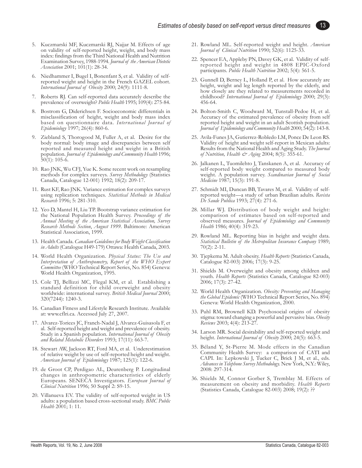- 5. Kuczmarski MF, Kuczmarski RJ, Najjar M. Effects of age on validity of self-reported height, weight, and body mass index: findings from the Third National Health and Nutrition Examination Survey, 1988-1994. *Journal of the American Dietetic Association* 2001; 101(1): 28-34.
- 6. Niedhammer I, Bugel I, Bonenfant S, et al. Validity of selfreported weight and height in the French GAZEL cohort. *International Journal of Obesity* 2000; 24(9): 1111-8.
- 7. Roberts RJ. Can self-reported data accurately describe the prevalence of overweight? *Public Health* 1995; 109(4): 275-84.
- 8. Bostrom G, Diderichsen F. Socioeconomic differentials in misclassification of height, weight and body mass index based on questionnaire data. *International Journal of Epidemiology* 1997; 26(4): 860-6.
- 9. Ziebland S, Thorogood M, Fuller A, et al. Desire for the body normal: body image and discrepancies between self reported and measured height and weight in a British population. *Journal of Epidemiology and Community Health* 1996; 50(1): 105-6.
- 10. Rao JNK, Wu CFJ, Yue K. Some recent work on resampling methods for complex surveys. *Survey Methodology* (Statistics Canada, Catalogue 12-001) 1992; 18(2): 209-17.
- 11. Rust KF, Rao JNK. Variance estimation for complex surveys using replication techniques. *Statistical Methods in Medical Research* 1996; 5: 281-310.
- 12. Yeo D, Mantel H, Liu TP. Bootstrap variance estimation for the National Population Health Survey. *Proceedings of the Annual Meeting of the American Statistical Association, Survey Research Methods Section*, *August 1999.* Baltimore: American Statistical Association, 1999.
- 13. Health Canada. *Canadian Guidelines for Body Weight Classification in Adults* (Catalogue H49-179) Ottawa: Health Canada, 2003.
- 14. World Health Organization. *Physical Status: The Use and Interpretation of Anthropometry, Report of the WHO Expert Committee* (WHO Technical Report Series, No. 854) Geneva: World Health Organization, 1995.
- 15. Cole TJ, Bellizzi MC, Flegal KM, et al. Establishing a standard definition for child overweight and obesity worldwide: international survey. *British Medical Journal* 2000; 320(7244): 1240-3.
- 16. Canadian Fitness and Lifestyle Research Institute. Available at: www.cflri.ca. Accessed July 27, 2007.
- 17. Alvarez-Torices JC, Franch-Nadal J, Alvarez-Guisasola F, et al. Self-reported height and weight and prevalence of obesity. Study in a Spanish population. *International Journal of Obesity and Related Metabolic Disorders* 1993; 17(11): 663-7.
- 18. Stewart AW, Jackson RT, Ford MA, et al. Underestimation of relative weight by use of self-reported height and weight. *American Journal of Epidemiology* 1987; 125(1): 122-6.
- 19. de Groot CP, Perdigao AL, Deurenberg P. Longitudinal changes in anthropometric characteristics of elderly Europeans. SENECA Investigators. *European Journal of Clinical Nutrition* 1996; 50 Suppl 2: S9-15.
- 20. Villanueva EV. The validity of self-reported weight in US adults: a population based cross-sectional study. *BMC Public Health* 2001; 1: 11.

21. Rowland ML. Self-reported weight and height. *American Journal of Clinical Nutrition* 1990; 52(6): 1125-33.

- 22. Spencer EA, Appleby PN, Davey GK, et al. Validity of selfreported height and weight in 4808 EPIC-Oxford participants. *Public Health Nutrition* 2002; 5(4): 561-5.
- 23. Gunnell D, Berney L, Holland P, et al. How accurately are height, weight and leg length reported by the elderly, and how closely are they related to measurements recorded in childhood? *International Journal of Epidemiology* 2000; 29(3): 456-64.
- 24. Bolton-Smith C, Woodward M, Tunstall-Pedoe H, et al. Accuracy of the estimated prevalence of obesity from self reported height and weight in an adult Scottish population. *Journal of Epidemiology and Community Health* 2000; 54(2): 143-8.
- 25. Avila-Funes JA, Gutierrez-Robledo LM, Ponce De Leon RS. Validity of height and weight self-report in Mexican adults: Results from the National Health and Aging Study. *The Journal of Nutrition, Health & Aging* 2004; 8(5): 355-61.
- 26. Jalkanen L, Tuomilehto J, Tanskanen A, et al. Accuracy of self-reported body weight compared to measured body weight. A population survey. *Scandinavian Journal of Social Medicine* 1987; 15(3): 191-8.
- 27. Schmidt MI, Duncan BB, Tavares M, et al. Validity of selfreported weight—a study of urban Brazilian adults. *Revista De Saude Publica* 1993; 27(4): 271-6.
- 28. Millar WJ. Distribution of body weight and height: comparison of estimates based on self-reported and observed measures. *Journal of Epidemiology and Community Health* 1986; 40(4): 319-23.
- 29. Rowland ML. Reporting bias in height and weight data. *Statistical Bulletin of the Metropolitan Insurance Company* 1989; 70(2): 2-11.
- 30. Tjepkema M. Adult obesity. *Health Reports* (Statistics Canada, Catalogue 82-003) 2006; 17(3): 9-25.
- 31. Shields M. Overweight and obesity among children and youth. *Health Reports* (Statistics Canada, Catalogue 82-003) 2006; 17(3): 27-42.
- 32. World Health Organization. *Obesity: Preventing and Managing the Global Epidemic* (WHO Technical Report Series, No. 894) Geneva: World Health Organization, 2000.
- 33. Puhl RM, Brownell KD. Psychosocial origins of obesity stigma: toward changing a powerful and pervasive bias. *Obesity Reviews* 2003; 4(4): 213-27.
- 34. Larson MR. Social desirability and self-reported weight and height. *International Journal of Obesity* 2000; 24(5): 663-5.
- 35. Béland Y, St-Pierre M. Mode effects in the Canadian Community Health Survey: a comparison of CATI and CAPI. In: Lepkowski J, Tucker C, Brick J M, et al., eds. *Advances in Telephone Survey Methodology*. New York, N.Y.: Wiley, 2008: 297-314.
- 36. Shields M, Connor Gorber S, Tremblay M. Effects of measurement on obesity and morbidity. *Health Reports* (Statistics Canada, Catalogue 82-003) 2008; 19(2): ??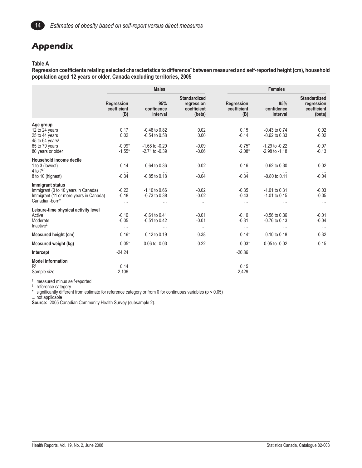

## **Appendix**

#### **Table A**

**Regression coefficients relating selected characteristics to difference† between measured and self-reported height (cm), household population aged 12 years or older, Canada excluding territories, 2005**

|                                                                                                                                 |                                         | <b>Males</b>                                                             |                                                            | <b>Females</b>                          |                                                              |                                                            |  |
|---------------------------------------------------------------------------------------------------------------------------------|-----------------------------------------|--------------------------------------------------------------------------|------------------------------------------------------------|-----------------------------------------|--------------------------------------------------------------|------------------------------------------------------------|--|
|                                                                                                                                 | <b>Regression</b><br>coefficient<br>(B) | 95%<br>confidence<br>interval                                            | <b>Standardized</b><br>regression<br>coefficient<br>(beta) | <b>Regression</b><br>coefficient<br>(B) | 95%<br>confidence<br>interval                                | <b>Standardized</b><br>regression<br>coefficient<br>(beta) |  |
| Age group<br>12 to 24 years<br>25 to 44 years<br>45 to 64 years <sup><math>‡</math></sup><br>65 to 79 years                     | 0.17<br>0.02<br>$\cdots$<br>$-0.99*$    | $-0.48$ to $0.82$<br>$-0.54$ to $0.58$<br>$\cdots$<br>$-1.68$ to $-0.29$ | 0.02<br>0.00<br>$\ldots$<br>$-0.09$                        | 0.15<br>$-0.14$<br>$\cdots$<br>$-0.75*$ | $-0.43$ to $0.74$<br>$-0.62$ to $0.33$<br>$-1.29$ to $-0.22$ | 0.02<br>$-0.02$<br>$\cdots$<br>$-0.07$                     |  |
| 80 years or older<br>Household income decile<br>1 to 3 (lowest)<br>4 to $7‡$<br>8 to 10 (highest)                               | $-1.55*$<br>$-0.14$<br>$-0.34$          | $-2.71$ to $-0.39$<br>$-0.64$ to $0.36$<br>-0.85 to 0.18                 | $-0.06$<br>$-0.02$<br>$-0.04$                              | $-2.08*$<br>$-0.16$<br>$-0.34$          | $-2.98$ to $-1.18$<br>$-0.62$ to $0.30$<br>$-0.80$ to $0.11$ | $-0.13$<br>$-0.02$<br>$-0.04$                              |  |
| Immigrant status<br>Immigrant (0 to 10 years in Canada)<br>Immigrant (11 or more years in Canada)<br>Canadian-born <sup>#</sup> | $-0.22$<br>$-0.18$<br>$\cdots$          | $-1.10$ to 0.66<br>$-0.73$ to $0.38$<br>$\cdots$                         | $-0.02$<br>$-0.02$<br>$\ldots$                             | $-0.35$<br>$-0.43$<br>$\ldots$          | $-1.01$ to 0.31<br>$-1.01$ to 0.15                           | $-0.03$<br>$-0.05$<br>$\ldots$                             |  |
| Leisure-time physical activity level<br>Active<br>Moderate<br>Inactive <sup>#</sup>                                             | $-0.10$<br>$-0.05$<br>$\cdots$          | $-0.61$ to $0.41$<br>$-0.51$ to $0.42$<br>$\cdots$                       | $-0.01$<br>$-0.01$<br>$\cdots$                             | $-0.10$<br>$-0.31$<br>$\cdots$          | -0.56 to 0.36<br>$-0.76$ to $0.13$<br>$\cdots$               | $-0.01$<br>$-0.04$<br>$\cdots$                             |  |
| Measured height (cm)                                                                                                            | $0.16*$                                 | 0.12 to 0.19                                                             | 0.38                                                       | $0.14*$                                 | 0.10 to 0.18                                                 | 0.32                                                       |  |
| Measured weight (kg)                                                                                                            | $-0.05*$                                | $-0.06$ to $-0.03$                                                       | $-0.22$                                                    | $-0.03*$                                | $-0.05$ to $-0.02$                                           | $-0.15$                                                    |  |
| Intercept                                                                                                                       | $-24.24$                                |                                                                          |                                                            | $-20.86$                                |                                                              |                                                            |  |
| <b>Model information</b><br>R <sup>2</sup><br>Sample size                                                                       | 0.14<br>2,106                           |                                                                          |                                                            | 0.15<br>2,429                           |                                                              |                                                            |  |

† measured minus self-reported

‡ reference category

\* significantly different from estimate for reference category or from 0 for continuous variables (p < 0.05)

... not applicable

**Source:** 2005 Canadian Community Health Survey (subsample 2).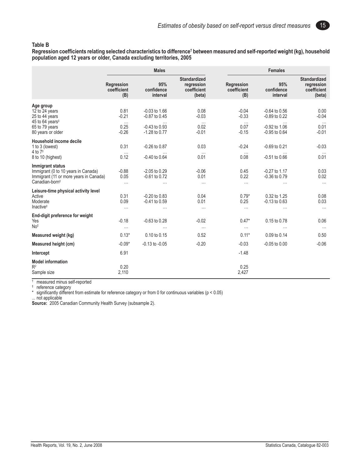15

#### **Table B**

**Regression coefficients relating selected characteristics to difference† between measured and self-reported weight (kg), household population aged 12 years or older, Canada excluding territories, 2005**

|                                                                                                                                 |                                                | <b>Males</b>                                                                               |                                                            | <b>Females</b>                                    |                                                                                              |                                                            |  |
|---------------------------------------------------------------------------------------------------------------------------------|------------------------------------------------|--------------------------------------------------------------------------------------------|------------------------------------------------------------|---------------------------------------------------|----------------------------------------------------------------------------------------------|------------------------------------------------------------|--|
|                                                                                                                                 | Regression<br>coefficient<br>(B)               | 95%<br>confidence<br>interval                                                              | <b>Standardized</b><br>regression<br>coefficient<br>(beta) | Regression<br>coefficient<br>(B)                  | 95%<br>confidence<br>interval                                                                | <b>Standardized</b><br>regression<br>coefficient<br>(beta) |  |
| Age group<br>12 to 24 years<br>25 to 44 years<br>45 to 64 years <sup>‡</sup><br>65 to 79 years<br>80 years or older             | 0.81<br>$-0.21$<br>$\cdots$<br>0.25<br>$-0.26$ | $-0.03$ to $1.66$<br>$-0.87$ to $0.45$<br>$\cdots$<br>$-0.43$ to $0.93$<br>$-1.28$ to 0.77 | 0.08<br>$-0.03$<br>$\ldots$<br>0.02<br>$-0.01$             | $-0.04$<br>$-0.33$<br>$\cdots$<br>0.07<br>$-0.15$ | $-0.64$ to $0.56$<br>$-0.89$ to $0.22$<br>$\cdots$<br>$-0.92$ to $1.06$<br>$-0.95$ to $0.64$ | 0.00<br>$-0.04$<br>$\cdots$<br>0.01<br>$-0.01$             |  |
| Household income decile<br>1 to 3 (lowest)<br>4 to $7‡$<br>8 to 10 (highest)                                                    | 0.31<br>$\ldots$<br>0.12                       | $-0.26$ to $0.87$<br>$-0.40$ to $0.64$                                                     | 0.03<br>$\cdots$<br>0.01                                   | $-0.24$<br>$\ldots$<br>0.08                       | $-0.69$ to $0.21$<br>$-0.51$ to $0.66$                                                       | $-0.03$<br>$\cdots$<br>0.01                                |  |
| Immigrant status<br>Immigrant (0 to 10 years in Canada)<br>Immigrant (11 or more years in Canada)<br>Canadian-born <sup>#</sup> | $-0.88$<br>0.05<br>$\ldots$                    | $-2.05$ to 0.29<br>$-0.61$ to $0.72$<br>$\ldots$                                           | $-0.06$<br>0.01<br>$\ldots$                                | 0.45<br>0.22<br>$\ldots$                          | -0.27 to 1.17<br>$-0.36$ to $0.79$<br>$\ldots$                                               | 0.03<br>0.02<br>$\ldots$                                   |  |
| Leisure-time physical activity level<br>Active<br>Moderate<br>Inactive <sup>#</sup>                                             | 0.31<br>0.09<br>$\cdots$                       | $-0.20$ to $0.83$<br>-0.41 to 0.59<br>$\cdots$                                             | 0.04<br>0.01<br>$\cdots$                                   | $0.79*$<br>0.25<br>$\cdots$                       | 0.32 to 1.25<br>$-0.13$ to $0.63$<br>$\cdots$                                                | 0.08<br>0.03<br>$\cdots$                                   |  |
| End-digit preference for weight<br>Yes<br>No <sup>‡</sup>                                                                       | $-0.18$<br>$\cdots$                            | $-0.63$ to $0.28$<br>$\cdots$                                                              | $-0.02$<br>$\ldots$                                        | $0.47*$<br>$\cdots$                               | 0.15 to 0.78<br>$\cdots$                                                                     | 0.06<br>$\ldots$                                           |  |
| Measured weight (kg)                                                                                                            | $0.13*$                                        | 0.10 to 0.15                                                                               | 0.52                                                       | $0.11*$                                           | 0.09 to 0.14                                                                                 | 0.50                                                       |  |
| Measured height (cm)                                                                                                            | $-0.09*$                                       | $-0.13$ to $-0.05$                                                                         | $-0.20$                                                    | $-0.03$                                           | $-0.05$ to $0.00$                                                                            | $-0.06$                                                    |  |
| Intercept                                                                                                                       | 6.91                                           |                                                                                            |                                                            | $-1.48$                                           |                                                                                              |                                                            |  |
| <b>Model information</b><br>R <sup>2</sup><br>Sample size                                                                       | 0.20<br>2,110                                  |                                                                                            |                                                            | 0.25<br>2,427                                     |                                                                                              |                                                            |  |

† measured minus self-reported

‡ reference category

\* significantly different from estimate for reference category or from 0 for continuous variables (p < 0.05)

... not applicable

**Source:** 2005 Canadian Community Health Survey (subsample 2).